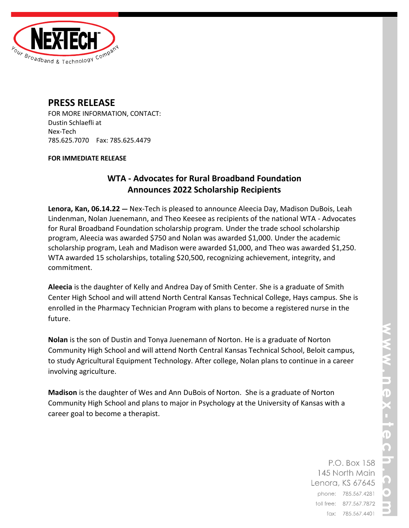

# **PRESS RELEASE**

FOR MORE INFORMATION, CONTACT: Dustin Schlaefli at Nex-Tech 785.625.7070 Fax: 785.625.4479

#### **FOR IMMEDIATE RELEASE**

## **WTA - Advocates for Rural Broadband Foundation Announces 2022 Scholarship Recipients**

**Lenora, Kan, 06.14.22 —** Nex-Tech is pleased to announce Aleecia Day, Madison DuBois, Leah Lindenman, Nolan Juenemann, and Theo Keesee as recipients of the national WTA - Advocates for Rural Broadband Foundation scholarship program. Under the trade school scholarship program, Aleecia was awarded \$750 and Nolan was awarded \$1,000. Under the academic scholarship program, Leah and Madison were awarded \$1,000, and Theo was awarded \$1,250. WTA awarded 15 scholarships, totaling \$20,500, recognizing achievement, integrity, and commitment.

**Aleecia** is the daughter of Kelly and Andrea Day of Smith Center. She is a graduate of Smith Center High School and will attend North Central Kansas Technical College, Hays campus. She is enrolled in the Pharmacy Technician Program with plans to become a registered nurse in the future.

**Nolan** is the son of Dustin and Tonya Juenemann of Norton. He is a graduate of Norton Community High School and will attend North Central Kansas Technical School, Beloit campus, to study Agricultural Equipment Technology. After college, Nolan plans to continue in a career involving agriculture.

**Madison** is the daughter of Wes and Ann DuBois of Norton. She is a graduate of Norton Community High School and plans to major in Psychology at the University of Kansas with a career goal to become a therapist.

> P.O. Box 158 145 North Main Lenora, KS 67645 phone: 785.567.4281 toll free: 877.567.7872 fax: 785.567.4401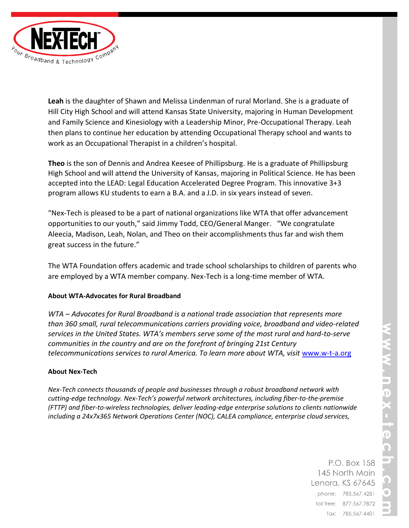**Leah** is the daughter of Shawn and Melissa Lindenman of rural Morland. She is a graduate of Hill City High School and will attend Kansas State University, majoring in Human Development and Family Science and Kinesiology with a Leadership Minor, Pre-Occupational Therapy. Leah then plans to continue her education by attending Occupational Therapy school and wants to work as an Occupational Therapist in a children's hospital.

**Theo** is the son of Dennis and Andrea Keesee of Phillipsburg. He is a graduate of Phillipsburg High School and will attend the University of Kansas, majoring in Political Science. He has been accepted into the LEAD: Legal Education Accelerated Degree Program. This innovative 3+3 program allows KU students to earn a B.A. and a J.D. in six years instead of seven.

"Nex-Tech is pleased to be a part of national organizations like WTA that offer advancement opportunities to our youth," said Jimmy Todd, CEO/General Manger. "We congratulate Aleecia, Madison, Leah, Nolan, and Theo on their accomplishments thus far and wish them great success in the future."

The WTA Foundation offers academic and trade school scholarships to children of parents who are employed by a WTA member company. Nex-Tech is a long-time member of WTA.

### **About WTA-Advocates for Rural Broadband**

*WTA – Advocates for Rural Broadband is a national trade association that represents more than 360 small, rural telecommunications carriers providing voice, broadband and video-related services in the United States. WTA's members serve some of the most rural and hard-to-serve communities in the country and are on the forefront of bringing 21st Century telecommunications services to rural America. To learn more about WTA, visit* [www.w-t-a.org](http://www.w-t-a.org/)

### **About Nex-Tech**

*Nex-Tech connects thousands of people and businesses through a robust broadband network with cutting-edge technology. Nex-Tech's powerful network architectures, including fiber-to-the-premise (FTTP) and fiber-to-wireless technologies, deliver leading-edge enterprise solutions to clients nationwide including a 24x7x365 Network Operations Center (NOC), CALEA compliance, enterprise cloud services,* 

> P.O. Box 158 145 North Main Lenora, KS 67645 phone: 785.567.4281 toll free: 877.567.7872 fax: 785.567.4401